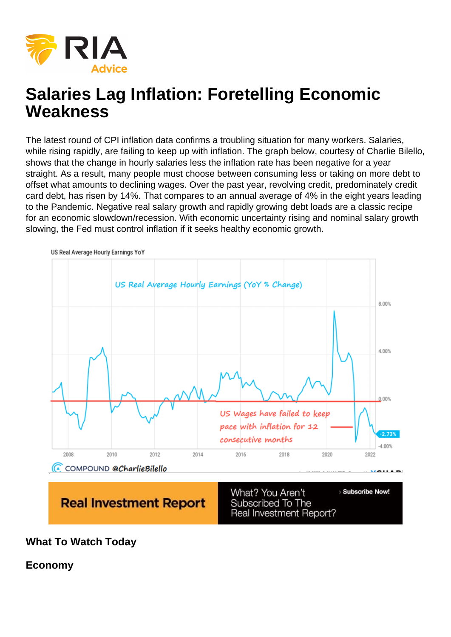# Salaries Lag Inflation: Foretelling Economic **Weakness**

The latest round of CPI inflation data confirms a troubling situation for many workers. Salaries, while rising rapidly, are failing to keep up with inflation. The graph below, courtesy of Charlie Bilello, shows that the change in hourly salaries less the inflation rate has been negative for a year straight. As a result, many people must choose between consuming less or taking on more debt to offset what amounts to declining wages. Over the past year, revolving credit, predominately credit card debt, has risen by 14%. That compares to an annual average of 4% in the eight years leading to the Pandemic. Negative real salary growth and rapidly growing debt loads are a classic recipe for an economic slowdown/recession. With economic uncertainty rising and nominal salary growth slowing, the Fed must control inflation if it seeks healthy economic growth.

What To Watch Today

Economy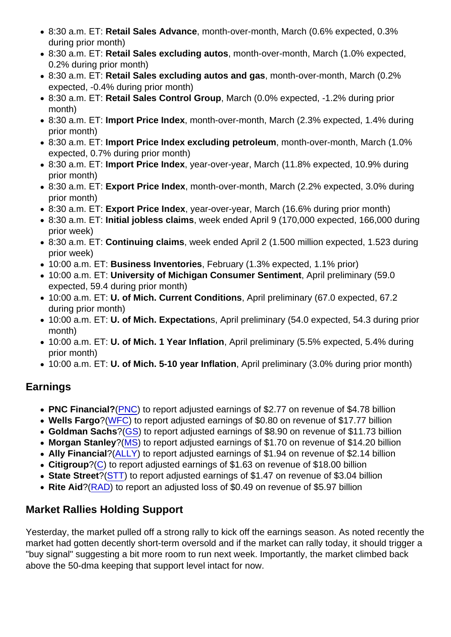- 8:30 a.m. ET: Retail Sales Advance , month-over-month, March (0.6% expected, 0.3% during prior month)
- 8:30 a.m. ET: Retail Sales excluding autos , month-over-month, March (1.0% expected, 0.2% during prior month)
- 8:30 a.m. ET: Retail Sales excluding autos and gas , month-over-month, March (0.2% expected, -0.4% during prior month)
- 8:30 a.m. ET: Retail Sales Control Group , March (0.0% expected, -1.2% during prior month)
- 8:30 a.m. ET: Import Price Index , month-over-month, March (2.3% expected, 1.4% during prior month)
- 8:30 a.m. ET: Import Price Index excluding petroleum , month-over-month, March (1.0%) expected, 0.7% during prior month)
- 8:30 a.m. ET: Import Price Index, year-over-year, March (11.8% expected, 10.9% during prior month)
- 8:30 a.m. ET: Export Price Index , month-over-month, March (2.2% expected, 3.0% during prior month)
- 8:30 a.m. ET: Export Price Index , year-over-year, March (16.6% during prior month)
- 8:30 a.m. ET: Initial jobless claims , week ended April 9 (170,000 expected, 166,000 during prior week)
- 8:30 a.m. ET: Continuing claims , week ended April 2 (1.500 million expected, 1.523 during prior week)
- 10:00 a.m. ET: Business Inventories , February (1.3% expected, 1.1% prior)
- 10:00 a.m. ET: University of Michigan Consumer Sentiment , April preliminary (59.0 expected, 59.4 during prior month)
- 10:00 a.m. ET: U. of Mich. Current Conditions , April preliminary (67.0 expected, 67.2 during prior month)
- 10:00 a.m. ET: U. of Mich. Expectation s, April preliminary (54.0 expected, 54.3 during prior month)
- 10:00 a.m. ET: U. of Mich. 1 Year Inflation , April preliminary (5.5% expected, 5.4% during prior month)
- 10:00 a.m. ET: U. of Mich. 5-10 year Inflation , April preliminary (3.0% during prior month)

## **Earnings**

- PNC Financial? [\(PNC](https://finance.yahoo.com/quote/PNC?p=PNC&.tsrc=fin-srch)) to report adjusted earnings of \$2.77 on revenue of \$4.78 billion
- Wells Fargo ?([WFC](https://finance.yahoo.com/quote/WFC?p=WFC&.tsrc=fin-srch)) to report adjusted earnings of \$0.80 on revenue of \$17.77 billion
- Goldman Sachs ?[\(GS\)](https://finance.yahoo.com/quote/GS?p=GS&.tsrc=fin-srch) to report adjusted earnings of \$8.90 on revenue of \$11.73 billion
- Morgan Stanley ?[\(MS](https://finance.yahoo.com/quote/MS?p=MS&.tsrc=fin-srch)) to report adjusted earnings of \$1.70 on revenue of \$14.20 billion
- Ally Financial ?[\(ALLY](https://finance.yahoo.com/quote/ALLY?p=ALLY&.tsrc=fin-srch)) to report adiusted earnings of \$1.94 on revenue of \$2.14 billion
- Citigroup ?[\(C\)](https://finance.yahoo.com/quote/C?p=C&.tsrc=fin-srch) to report adjusted earnings of \$1.63 on revenue of \$18.00 billion
- State Street ?[\(STT](https://finance.yahoo.com/quote/STT?p=STT&.tsrc=fin-srch)) to report adjusted earnings of \$1.47 on revenue of \$3.04 billion
- Rite Aid ?[\(RAD](https://finance.yahoo.com/quote/RAD?p=RAD&.tsrc=fin-srch)) to report an adjusted loss of \$0.49 on revenue of \$5.97 billion

## Market Rallies Holding Support

Yesterday, the market pulled off a strong rally to kick off the earnings season. As noted recently the market had gotten decently short-term oversold and if the market can rally today, it should trigger a "buy signal" suggesting a bit more room to run next week. Importantly, the market climbed back above the 50-dma keeping that support level intact for now.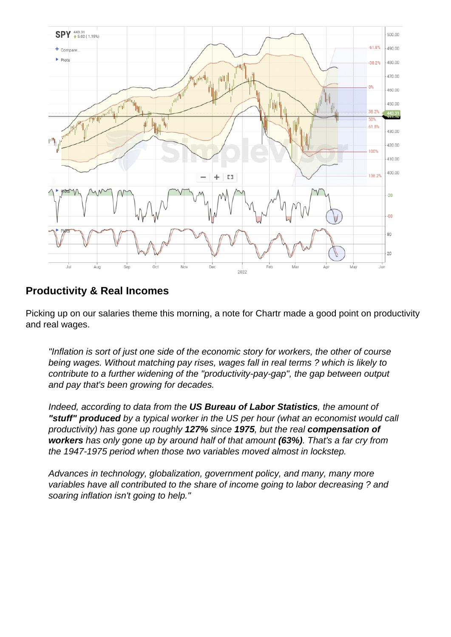#### Productivity & Real Incomes

Picking up on our salaries theme this morning, a note for Chartr made a good point on productivity and real wages.

"Inflation is sort of just one side of the economic story for workers, the other of course being wages. Without matching pay rises, wages fall in real terms ? which is likely to contribute to a further widening of the "productivity-pay-gap", the gap between output and pay that's been growing for decades.

Indeed, according to data from the US Bureau of Labor Statistics , the amount of "stuff" produced by a typical worker in the US per hour (what an economist would call productivity) has gone up roughly 127% since 1975, but the real compensation of workers has only gone up by around half of that amount (63%). That's a far cry from the 1947-1975 period when those two variables moved almost in lockstep.

Advances in technology, globalization, government policy, and many, many more variables have all contributed to the share of income going to labor decreasing ? and soaring inflation isn't going to help."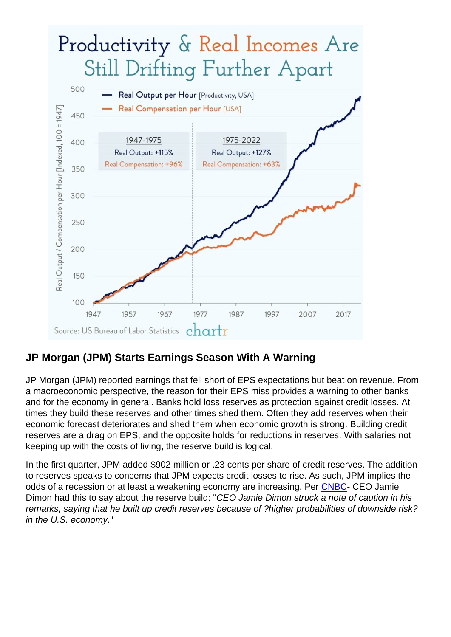### JP Morgan (JPM) Starts Earnings Season With A Warning

JP Morgan (JPM) reported earnings that fell short of EPS expectations but beat on revenue. From a macroeconomic perspective, the reason for their EPS miss provides a warning to other banks and for the economy in general. Banks hold loss reserves as protection against credit losses. At times they build these reserves and other times shed them. Often they add reserves when their economic forecast deteriorates and shed them when economic growth is strong. Building credit reserves are a drag on EPS, and the opposite holds for reductions in reserves. With salaries not keeping up with the costs of living, the reserve build is logical.

In the first quarter, JPM added \$902 million or .23 cents per share of credit reserves. The addition to reserves speaks to concerns that JPM expects credit losses to rise. As such, JPM implies the odds of a recession or at least a weakening economy are increasing. Per [CNBC](https://www.cnbc.com/2022/04/13/jpm-earnings-1q-2022.html)- CEO Jamie Dimon had this to say about the reserve build: "CEO Jamie Dimon struck a note of caution in his remarks, saying that he built up credit reserves because of ?higher probabilities of downside risk? in the U.S. economy."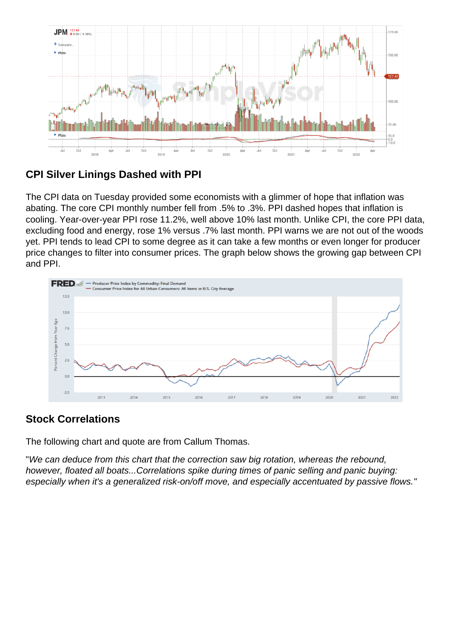## CPI Silver Linings Dashed with PPI

The CPI data on Tuesday provided some economists with a glimmer of hope that inflation was abating. The core CPI monthly number fell from .5% to .3%. PPI dashed hopes that inflation is cooling. Year-over-year PPI rose 11.2%, well above 10% last month. Unlike CPI, the core PPI data, excluding food and energy, rose 1% versus .7% last month. PPI warns we are not out of the woods yet. PPI tends to lead CPI to some degree as it can take a few months or even longer for producer price changes to filter into consumer prices. The graph below shows the growing gap between CPI and PPI.

#### Stock Correlations

The following chart and quote are from Callum Thomas.

"We can deduce from this chart that the correction saw big rotation, whereas the rebound, however, floated all boats...Correlations spike during times of panic selling and panic buying: especially when it's a generalized risk-on/off move, and especially accentuated by passive flows."